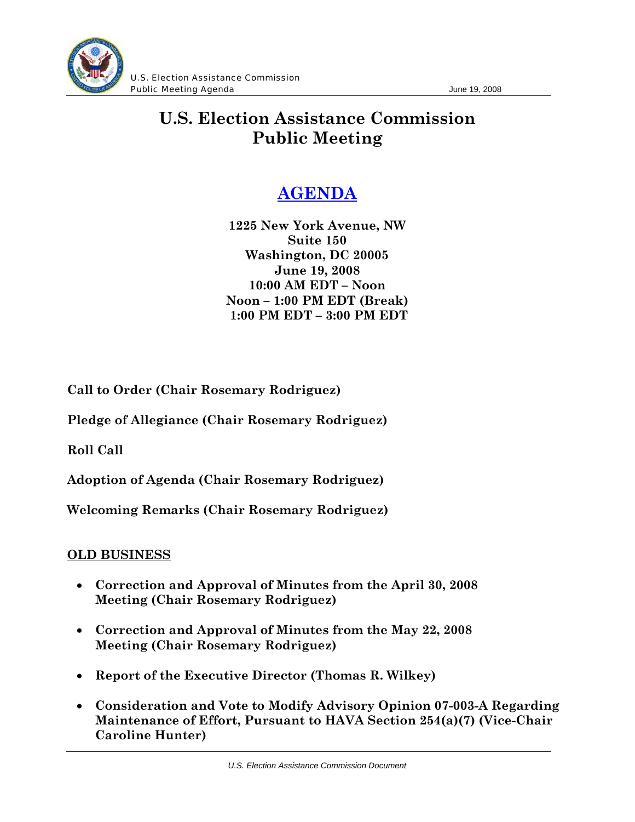

U.S. Election Assistance Commission **Public Meeting Agenda Contract Contract Contract Contract Contract Contract Contract Contract Contract Contract Contract Contract Contract Contract Contract Contract Contract Contract Contract Contract Contract Contract** 

## **U.S. Election Assistance Commission Public Meeting**

## **AGENDA**

**1225 New York Avenue, NW Suite 150 Washington, DC 20005 June 19, 2008 10:00 AM EDT – Noon Noon – 1:00 PM EDT (Break) 1:00 PM EDT – 3:00 PM EDT** 

**Call to Order (Chair Rosemary Rodriguez)**

**Pledge of Allegiance (Chair Rosemary Rodriguez)** 

**Roll Call** 

**Adoption of Agenda (Chair Rosemary Rodriguez)** 

**Welcoming Remarks (Chair Rosemary Rodriguez)** 

## **OLD BUSINESS**

- **Correction and Approval of Minutes from the April 30, 2008 Meeting (Chair Rosemary Rodriguez)**
- **Correction and Approval of Minutes from the May 22, 2008 Meeting (Chair Rosemary Rodriguez)**
- **Report of the Executive Director (Thomas R. Wilkey)**
- **Consideration and Vote to Modify Advisory Opinion 07-003-A Regarding Maintenance of Effort, Pursuant to HAVA Section 254(a)(7) (Vice-Chair Caroline Hunter)**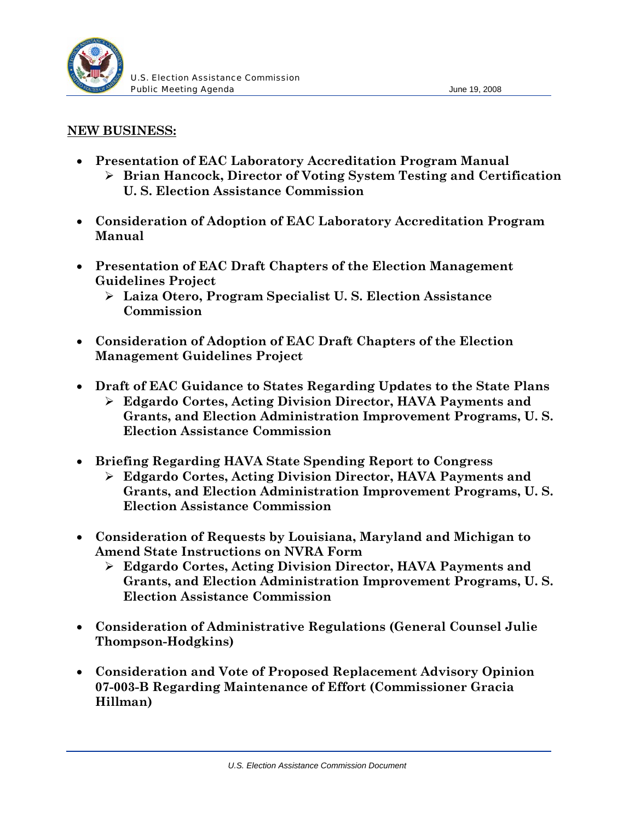

## **NEW BUSINESS:**

- **Presentation of EAC Laboratory Accreditation Program Manual**  ¾ **Brian Hancock, Director of Voting System Testing and Certification U. S. Election Assistance Commission**
- **Consideration of Adoption of EAC Laboratory Accreditation Program Manual**
- **Presentation of EAC Draft Chapters of the Election Management Guidelines Project** 
	- ¾ **Laiza Otero, Program Specialist U. S. Election Assistance Commission**
- **Consideration of Adoption of EAC Draft Chapters of the Election Management Guidelines Project**
- **Draft of EAC Guidance to States Regarding Updates to the State Plans** 
	- ¾ **Edgardo Cortes, Acting Division Director, HAVA Payments and Grants, and Election Administration Improvement Programs, U. S. Election Assistance Commission**
- **Briefing Regarding HAVA State Spending Report to Congress** 
	- ¾ **Edgardo Cortes, Acting Division Director, HAVA Payments and Grants, and Election Administration Improvement Programs, U. S. Election Assistance Commission**
- **Consideration of Requests by Louisiana, Maryland and Michigan to Amend State Instructions on NVRA Form** 
	- ¾ **Edgardo Cortes, Acting Division Director, HAVA Payments and Grants, and Election Administration Improvement Programs, U. S. Election Assistance Commission**
- **Consideration of Administrative Regulations (General Counsel Julie Thompson-Hodgkins)**
- **Consideration and Vote of Proposed Replacement Advisory Opinion 07-003-B Regarding Maintenance of Effort (Commissioner Gracia Hillman)**